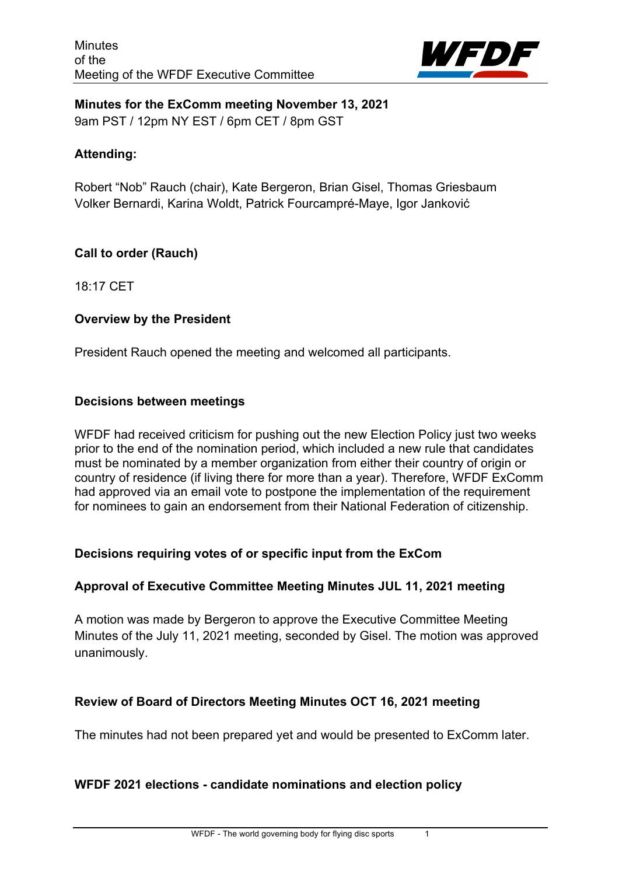

**Minutes for the ExComm meeting November 13, 2021** 9am PST / 12pm NY EST / 6pm CET / 8pm GST

#### **Attending:**

Robert "Nob" Rauch (chair), Kate Bergeron, Brian Gisel, Thomas Griesbaum Volker Bernardi, Karina Woldt, Patrick Fourcampré-Maye, Igor Janković

#### **Call to order (Rauch)**

18:17 CET

#### **Overview by the President**

President Rauch opened the meeting and welcomed all participants.

#### **Decisions between meetings**

WFDF had received criticism for pushing out the new Election Policy just two weeks prior to the end of the nomination period, which included a new rule that candidates must be nominated by a member organization from either their country of origin or country of residence (if living there for more than a year). Therefore, WFDF ExComm had approved via an email vote to postpone the implementation of the requirement for nominees to gain an endorsement from their National Federation of citizenship.

## **Decisions requiring votes of or specific input from the ExCom**

#### **Approval of Executive Committee Meeting Minutes JUL 11, 2021 meeting**

A motion was made by Bergeron to approve the Executive Committee Meeting Minutes of the July 11, 2021 meeting, seconded by Gisel. The motion was approved unanimously.

## **Review of Board of Directors Meeting Minutes OCT 16, 2021 meeting**

The minutes had not been prepared yet and would be presented to ExComm later.

## **WFDF 2021 elections - candidate nominations and election policy**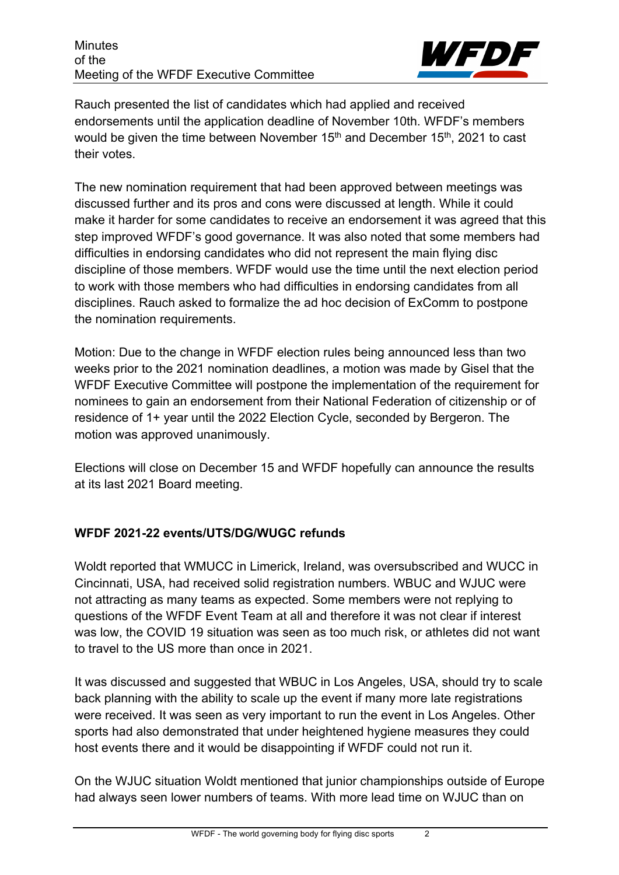

Rauch presented the list of candidates which had applied and received endorsements until the application deadline of November 10th. WFDF's members would be given the time between November  $15<sup>th</sup>$  and December  $15<sup>th</sup>$ , 2021 to cast their votes.

The new nomination requirement that had been approved between meetings was discussed further and its pros and cons were discussed at length. While it could make it harder for some candidates to receive an endorsement it was agreed that this step improved WFDF's good governance. It was also noted that some members had difficulties in endorsing candidates who did not represent the main flying disc discipline of those members. WFDF would use the time until the next election period to work with those members who had difficulties in endorsing candidates from all disciplines. Rauch asked to formalize the ad hoc decision of ExComm to postpone the nomination requirements.

Motion: Due to the change in WFDF election rules being announced less than two weeks prior to the 2021 nomination deadlines, a motion was made by Gisel that the WFDF Executive Committee will postpone the implementation of the requirement for nominees to gain an endorsement from their National Federation of citizenship or of residence of 1+ year until the 2022 Election Cycle, seconded by Bergeron. The motion was approved unanimously.

Elections will close on December 15 and WFDF hopefully can announce the results at its last 2021 Board meeting.

# **WFDF 2021-22 events/UTS/DG/WUGC refunds**

Woldt reported that WMUCC in Limerick, Ireland, was oversubscribed and WUCC in Cincinnati, USA, had received solid registration numbers. WBUC and WJUC were not attracting as many teams as expected. Some members were not replying to questions of the WFDF Event Team at all and therefore it was not clear if interest was low, the COVID 19 situation was seen as too much risk, or athletes did not want to travel to the US more than once in 2021.

It was discussed and suggested that WBUC in Los Angeles, USA, should try to scale back planning with the ability to scale up the event if many more late registrations were received. It was seen as very important to run the event in Los Angeles. Other sports had also demonstrated that under heightened hygiene measures they could host events there and it would be disappointing if WFDF could not run it.

On the WJUC situation Woldt mentioned that junior championships outside of Europe had always seen lower numbers of teams. With more lead time on WJUC than on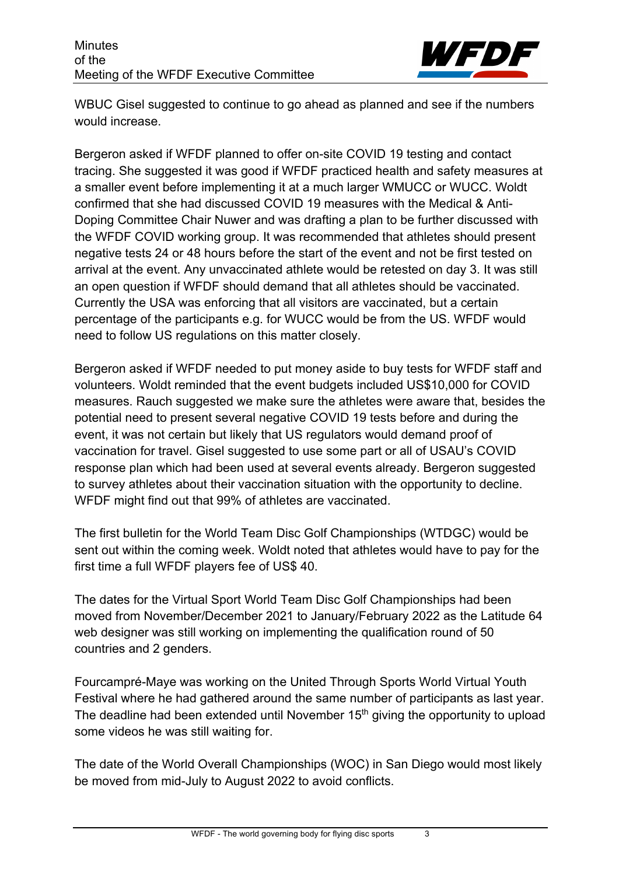

WBUC Gisel suggested to continue to go ahead as planned and see if the numbers would increase.

Bergeron asked if WFDF planned to offer on-site COVID 19 testing and contact tracing. She suggested it was good if WFDF practiced health and safety measures at a smaller event before implementing it at a much larger WMUCC or WUCC. Woldt confirmed that she had discussed COVID 19 measures with the Medical & Anti-Doping Committee Chair Nuwer and was drafting a plan to be further discussed with the WFDF COVID working group. It was recommended that athletes should present negative tests 24 or 48 hours before the start of the event and not be first tested on arrival at the event. Any unvaccinated athlete would be retested on day 3. It was still an open question if WFDF should demand that all athletes should be vaccinated. Currently the USA was enforcing that all visitors are vaccinated, but a certain percentage of the participants e.g. for WUCC would be from the US. WFDF would need to follow US regulations on this matter closely.

Bergeron asked if WFDF needed to put money aside to buy tests for WFDF staff and volunteers. Woldt reminded that the event budgets included US\$10,000 for COVID measures. Rauch suggested we make sure the athletes were aware that, besides the potential need to present several negative COVID 19 tests before and during the event, it was not certain but likely that US regulators would demand proof of vaccination for travel. Gisel suggested to use some part or all of USAU's COVID response plan which had been used at several events already. Bergeron suggested to survey athletes about their vaccination situation with the opportunity to decline. WFDF might find out that 99% of athletes are vaccinated.

The first bulletin for the World Team Disc Golf Championships (WTDGC) would be sent out within the coming week. Woldt noted that athletes would have to pay for the first time a full WFDF players fee of US\$ 40.

The dates for the Virtual Sport World Team Disc Golf Championships had been moved from November/December 2021 to January/February 2022 as the Latitude 64 web designer was still working on implementing the qualification round of 50 countries and 2 genders.

Fourcampré-Maye was working on the United Through Sports World Virtual Youth Festival where he had gathered around the same number of participants as last year. The deadline had been extended until November  $15<sup>th</sup>$  giving the opportunity to upload some videos he was still waiting for.

The date of the World Overall Championships (WOC) in San Diego would most likely be moved from mid-July to August 2022 to avoid conflicts.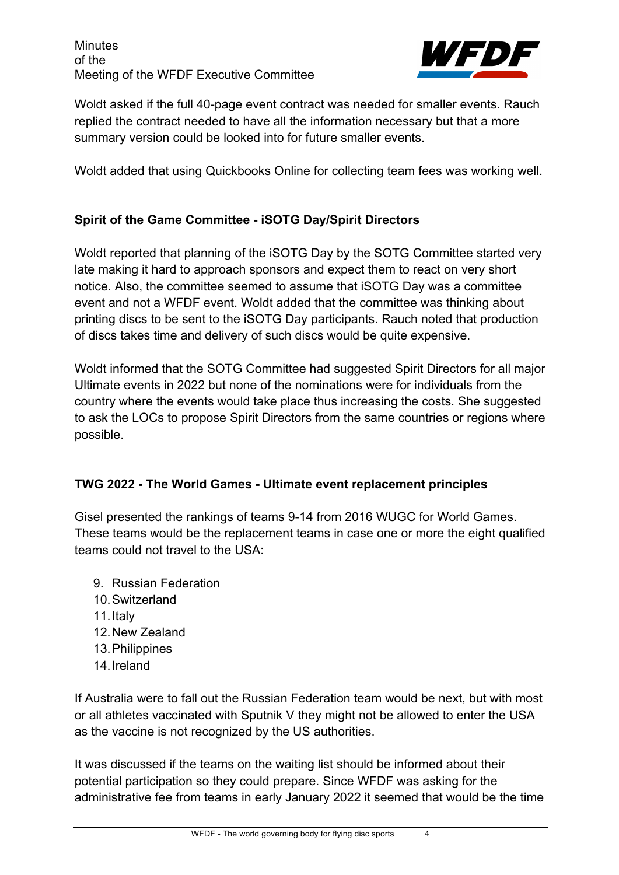

Woldt asked if the full 40-page event contract was needed for smaller events. Rauch replied the contract needed to have all the information necessary but that a more summary version could be looked into for future smaller events.

Woldt added that using Quickbooks Online for collecting team fees was working well.

#### **Spirit of the Game Committee - iSOTG Day/Spirit Directors**

Woldt reported that planning of the iSOTG Day by the SOTG Committee started very late making it hard to approach sponsors and expect them to react on very short notice. Also, the committee seemed to assume that iSOTG Day was a committee event and not a WFDF event. Woldt added that the committee was thinking about printing discs to be sent to the iSOTG Day participants. Rauch noted that production of discs takes time and delivery of such discs would be quite expensive.

Woldt informed that the SOTG Committee had suggested Spirit Directors for all major Ultimate events in 2022 but none of the nominations were for individuals from the country where the events would take place thus increasing the costs. She suggested to ask the LOCs to propose Spirit Directors from the same countries or regions where possible.

## **TWG 2022 - The World Games - Ultimate event replacement principles**

Gisel presented the rankings of teams 9-14 from 2016 WUGC for World Games. These teams would be the replacement teams in case one or more the eight qualified teams could not travel to the USA:

- 9. Russian Federation
- 10.Switzerland
- 11.Italy
- 12.New Zealand
- 13.Philippines
- 14.Ireland

If Australia were to fall out the Russian Federation team would be next, but with most or all athletes vaccinated with Sputnik V they might not be allowed to enter the USA as the vaccine is not recognized by the US authorities.

It was discussed if the teams on the waiting list should be informed about their potential participation so they could prepare. Since WFDF was asking for the administrative fee from teams in early January 2022 it seemed that would be the time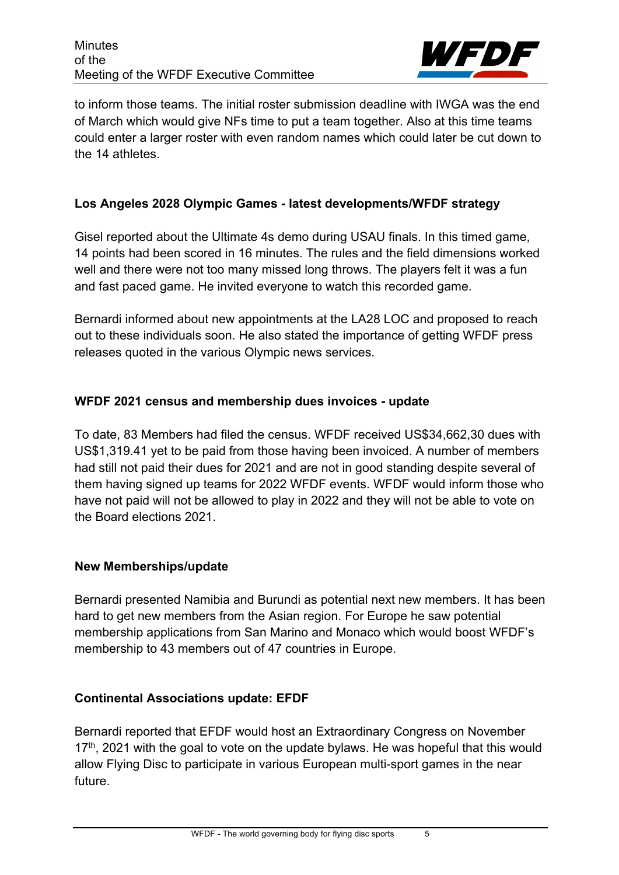

to inform those teams. The initial roster submission deadline with IWGA was the end of March which would give NFs time to put a team together. Also at this time teams could enter a larger roster with even random names which could later be cut down to the 14 athletes.

# **Los Angeles 2028 Olympic Games - latest developments/WFDF strategy**

Gisel reported about the Ultimate 4s demo during USAU finals. In this timed game, 14 points had been scored in 16 minutes. The rules and the field dimensions worked well and there were not too many missed long throws. The players felt it was a fun and fast paced game. He invited everyone to watch this recorded game.

Bernardi informed about new appointments at the LA28 LOC and proposed to reach out to these individuals soon. He also stated the importance of getting WFDF press releases quoted in the various Olympic news services.

## **WFDF 2021 census and membership dues invoices - update**

To date, 83 Members had filed the census. WFDF received US\$34,662,30 dues with US\$1,319.41 yet to be paid from those having been invoiced. A number of members had still not paid their dues for 2021 and are not in good standing despite several of them having signed up teams for 2022 WFDF events. WFDF would inform those who have not paid will not be allowed to play in 2022 and they will not be able to vote on the Board elections 2021.

#### **New Memberships/update**

Bernardi presented Namibia and Burundi as potential next new members. It has been hard to get new members from the Asian region. For Europe he saw potential membership applications from San Marino and Monaco which would boost WFDF's membership to 43 members out of 47 countries in Europe.

## **Continental Associations update: EFDF**

Bernardi reported that EFDF would host an Extraordinary Congress on November  $17<sup>th</sup>$ , 2021 with the goal to vote on the update bylaws. He was hopeful that this would allow Flying Disc to participate in various European multi-sport games in the near future.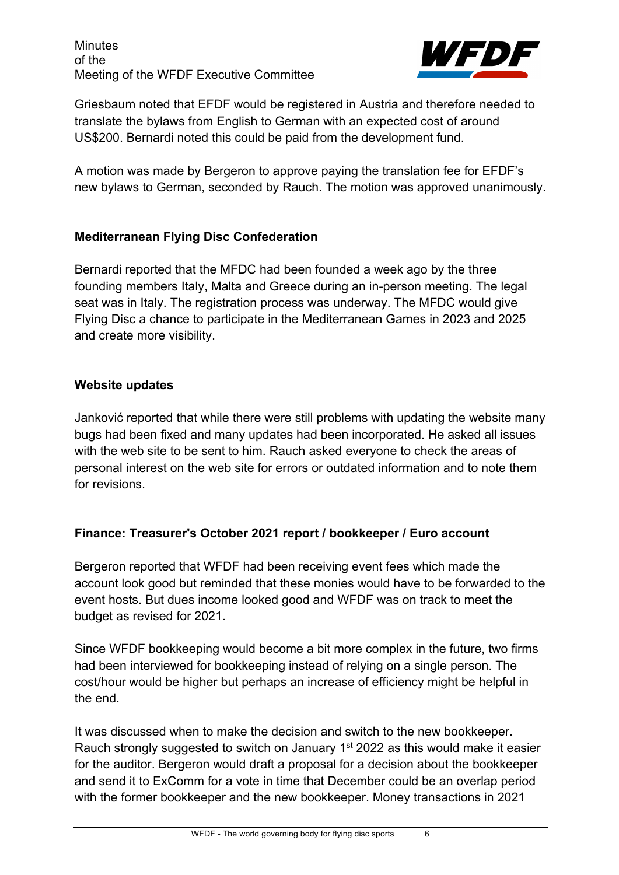

Griesbaum noted that EFDF would be registered in Austria and therefore needed to translate the bylaws from English to German with an expected cost of around US\$200. Bernardi noted this could be paid from the development fund.

A motion was made by Bergeron to approve paying the translation fee for EFDF's new bylaws to German, seconded by Rauch. The motion was approved unanimously.

# **Mediterranean Flying Disc Confederation**

Bernardi reported that the MFDC had been founded a week ago by the three founding members Italy, Malta and Greece during an in-person meeting. The legal seat was in Italy. The registration process was underway. The MFDC would give Flying Disc a chance to participate in the Mediterranean Games in 2023 and 2025 and create more visibility.

## **Website updates**

Janković reported that while there were still problems with updating the website many bugs had been fixed and many updates had been incorporated. He asked all issues with the web site to be sent to him. Rauch asked everyone to check the areas of personal interest on the web site for errors or outdated information and to note them for revisions.

# **Finance: Treasurer's October 2021 report / bookkeeper / Euro account**

Bergeron reported that WFDF had been receiving event fees which made the account look good but reminded that these monies would have to be forwarded to the event hosts. But dues income looked good and WFDF was on track to meet the budget as revised for 2021.

Since WFDF bookkeeping would become a bit more complex in the future, two firms had been interviewed for bookkeeping instead of relying on a single person. The cost/hour would be higher but perhaps an increase of efficiency might be helpful in the end.

It was discussed when to make the decision and switch to the new bookkeeper. Rauch strongly suggested to switch on January 1st 2022 as this would make it easier for the auditor. Bergeron would draft a proposal for a decision about the bookkeeper and send it to ExComm for a vote in time that December could be an overlap period with the former bookkeeper and the new bookkeeper. Money transactions in 2021